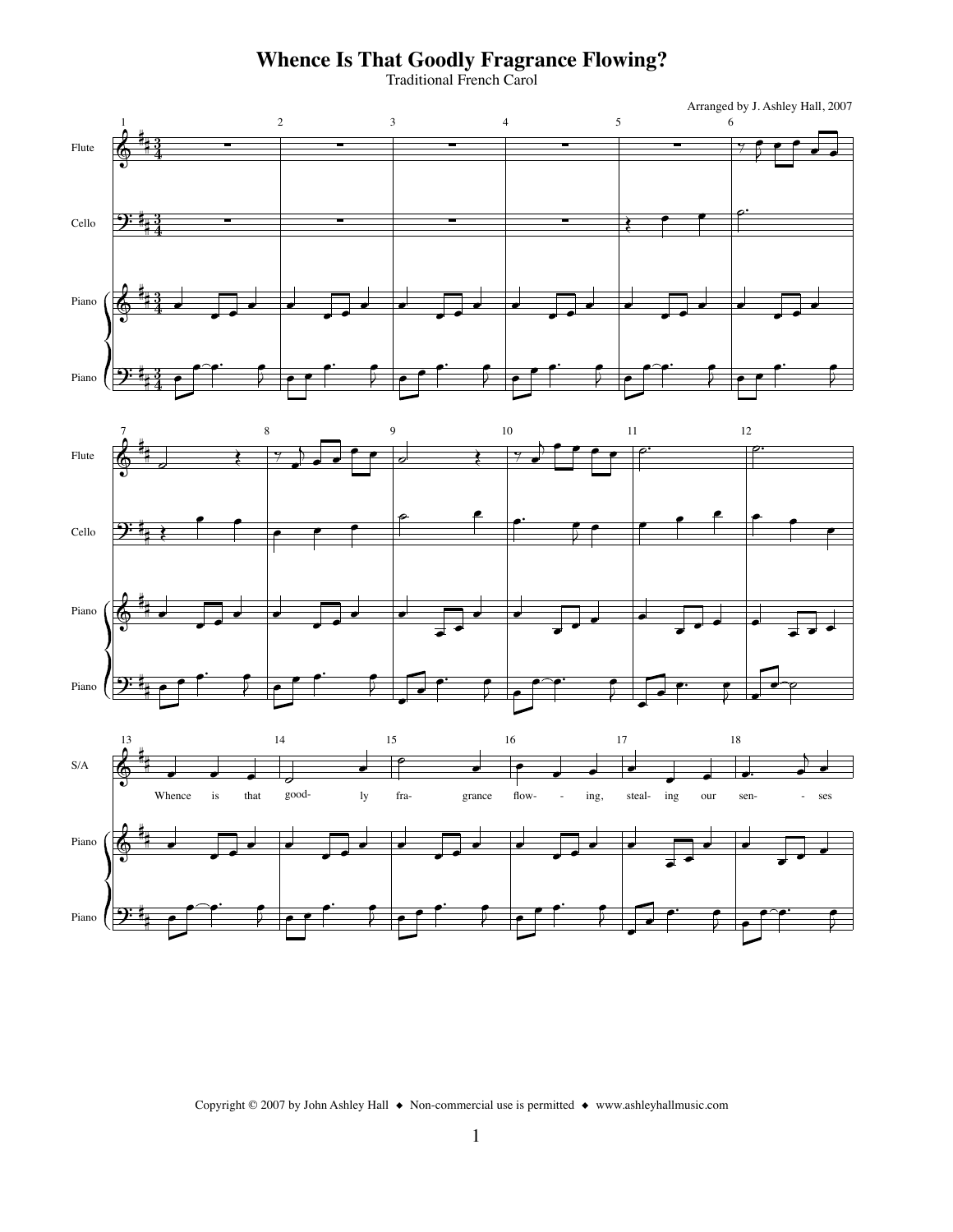## **Whence Is That Goodly Fragrance Flowing?**<br>Traditional French Carol



Copyright © 2007 by John Ashley Hall ♦ Non-commercial use is permitted ♦ www.ashleyhallmusic.com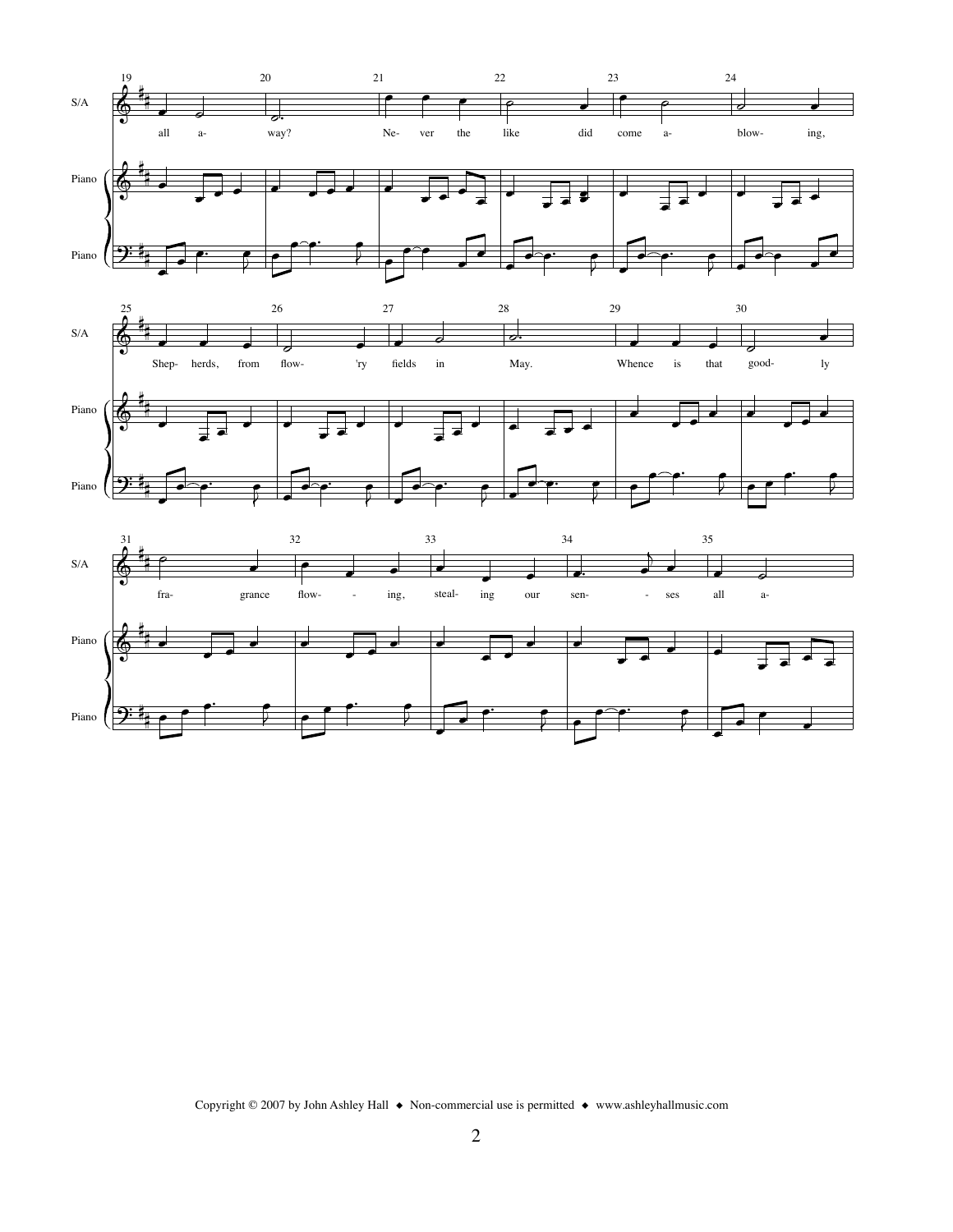

Copyright © 2007 by John Ashley Hall ◆ Non-commercial use is permitted ◆ www.ashleyhallmusic.com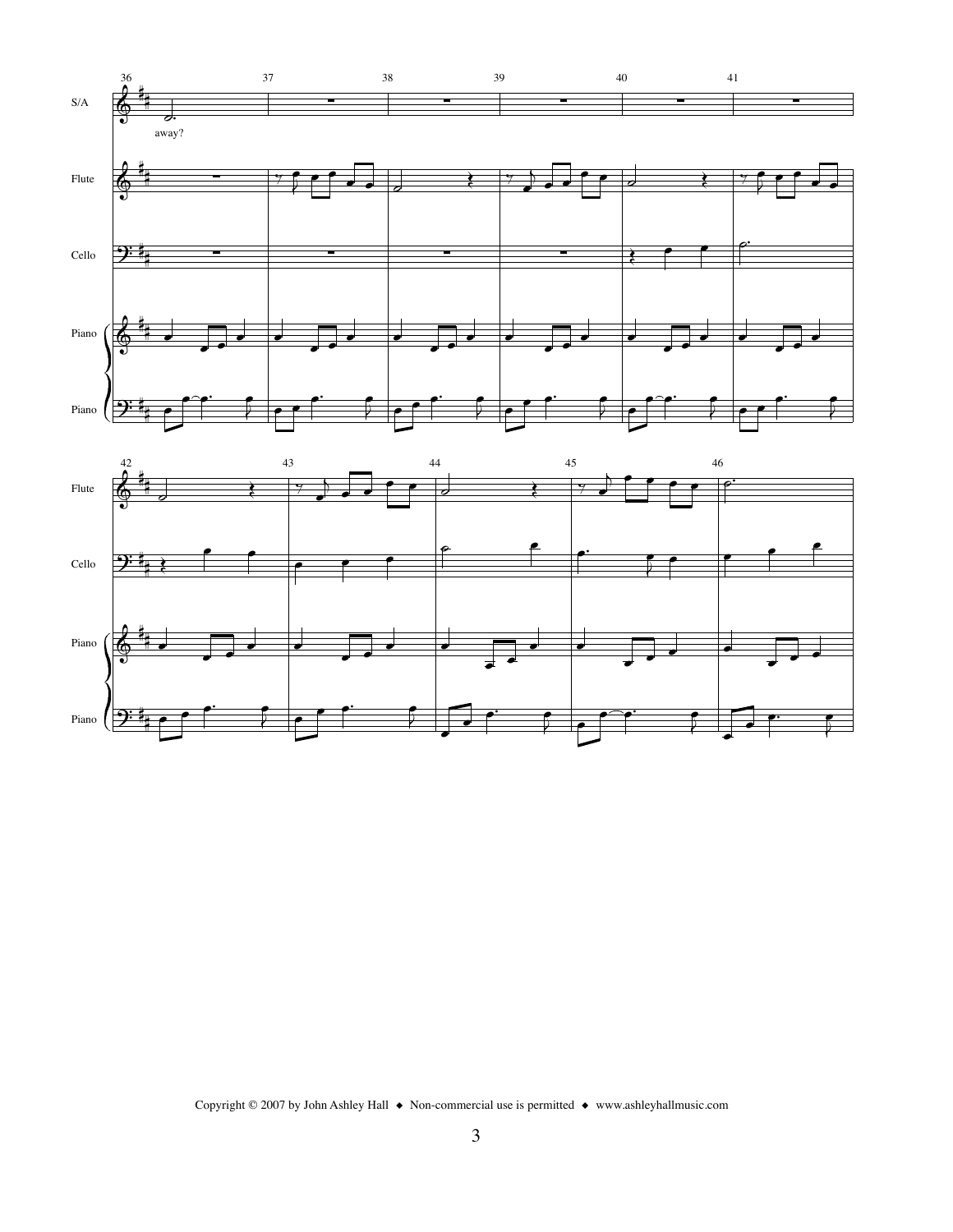



Copyright © 2007 by John Ashley Hall ◆ Non-commercial use is permitted ◆ www.ashleyhallmusic.com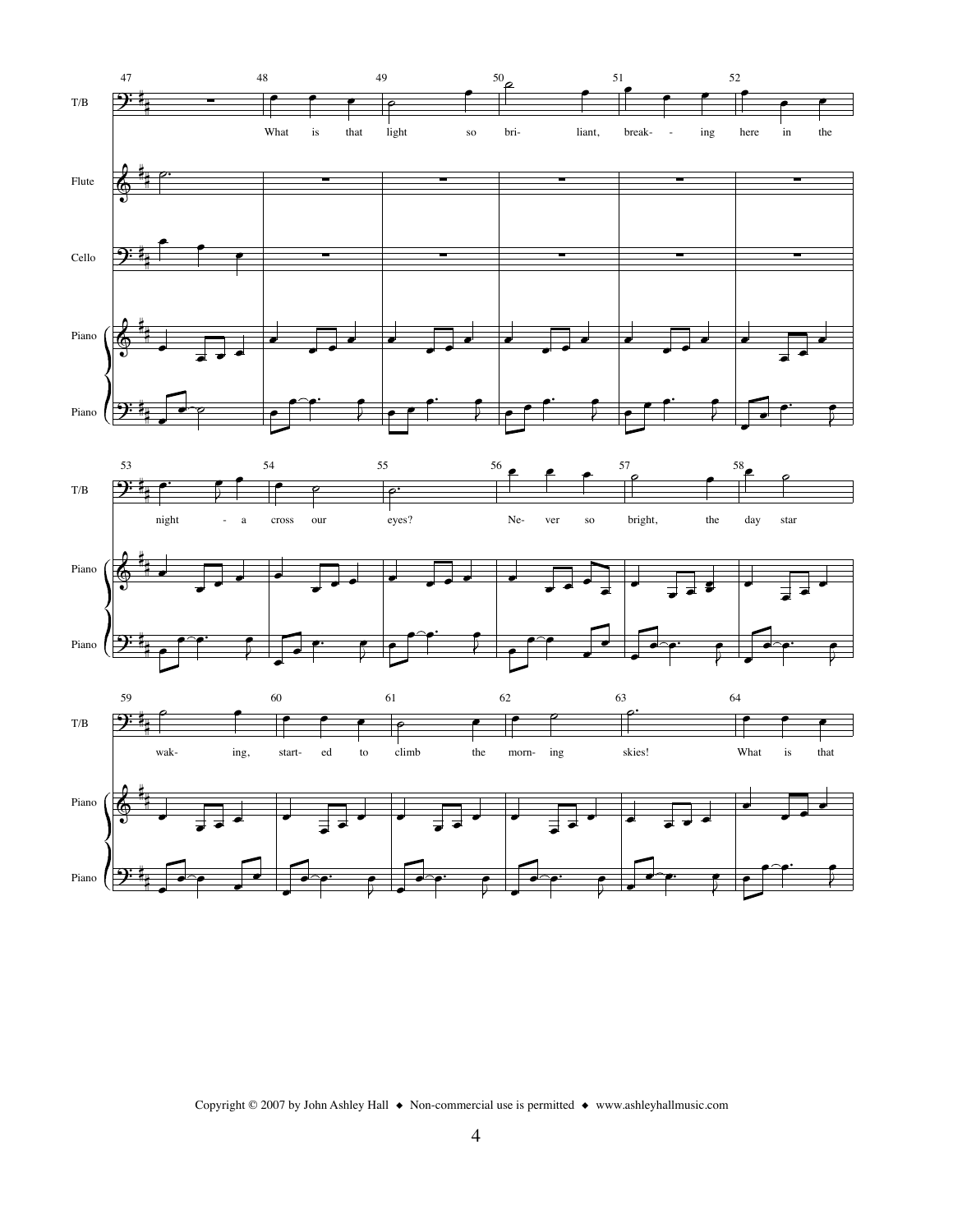

Copyright © 2007 by John Ashley Hall ◆ Non-commercial use is permitted ◆ www.ashleyhallmusic.com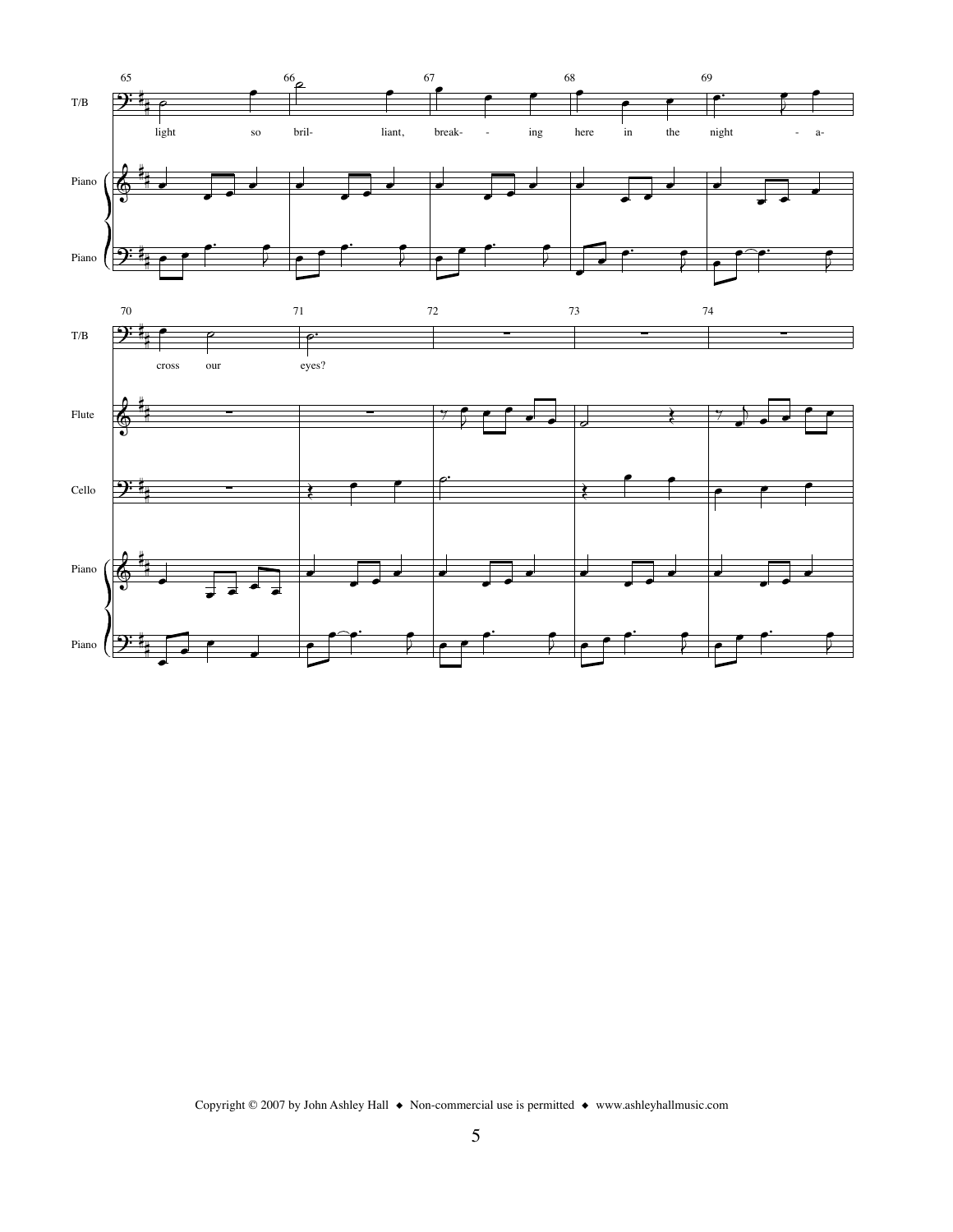

Copyright © 2007 by John Ashley Hall ♦ Non-commercial use is permitted ♦ www.ashleyhallmusic.com